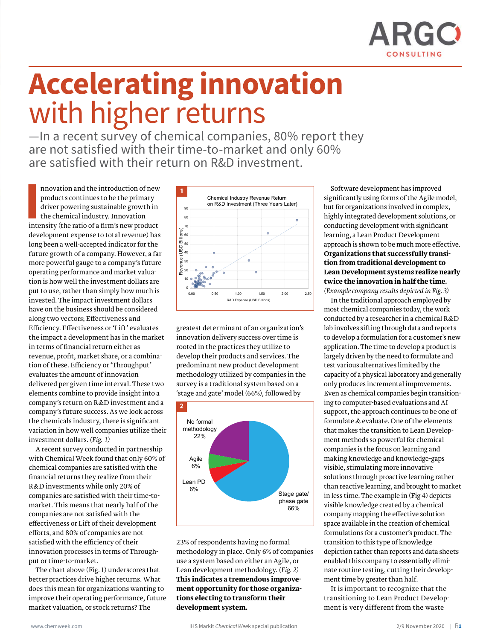

## **Accelerating innovation** with higher returns

—In a recent survey of chemical companies, 80% report they are not satisfied with their time-to-market and only 60% are satisfied with their return on R&D investment.

Innovation and the introduction of new products continues to be the primary driver powering sustainable growth in the chemical industry. Innovation intensity (the ratio of a firm's new product nnovation and the introduction of new products continues to be the primary driver powering sustainable growth in the chemical industry. Innovation development expense to total revenue) has long been a well-accepted indicator for the future growth of a company. However, a far more powerful gauge to a company's future operating performance and market valuation is how well the investment dollars are put to use, rather than simply how much is invested. The impact investment dollars have on the business should be considered along two vectors; Effectiveness and Efficiency. Effectiveness or 'Lift' evaluates the impact a development has in the market in terms of financial return either as revenue, profit, market share, or a combination of these. Efficiency or 'Throughput' evaluates the amount of innovation delivered per given time interval. These two elements combine to provide insight into a company's return on R&D investment and a company's future success. As we look across the chemicals industry, there is significant variation in how well companies utilize their investment dollars. *(Fig. 1)*

A recent survey conducted in partnership with Chemical Week found that only 60% of chemical companies are satisfied with the financial returns they realize from their R&D investments while only 20% of companies are satisfied with their time-tomarket. This means that nearly half of the companies are not satisfied with the effectiveness or Lift of their development efforts, and 80% of companies are not satisfied with the efficiency of their innovation processes in terms of Throughput or time-to-market.

The chart above (Fig. 1) underscores that better practices drive higher returns. What does this mean for organizations wanting to improve their operating performance, future market valuation, or stock returns? The



greatest determinant of an organization's innovation delivery success over time is rooted in the practices they utilize to develop their products and services. The predominant new product development methodology utilized by companies in the survey is a traditional system based on a 'stage and gate' model (66%), followed by



23% of respondents having no formal methodology in place. Only 6% of companies use a system based on either an Agile, or Lean development methodology. *(Fig. 2)*  **This indicates a tremendous improvement opportunity for those organizations electing to transform their development system.** 

Software development has improved significantly using forms of the Agile model, but for organizations involved in complex, highly integrated development solutions, or conducting development with significant learning, a Lean Product Development approach is shown to be much more effective. **Organizations that successfully transition from traditional development to Lean Development systems realize nearly twice the innovation in half the time.** 

*(Example company results depicted in Fig. 3)* In the traditional approach employed by most chemical companies today, the work conducted by a researcher in a chemical R&D lab involves sifting through data and reports to develop a formulation for a customer's new application. The time to develop a product is largely driven by the need to formulate and test various alternatives limited by the capacity of a physical laboratory and generally only produces incremental improvements. Even as chemical companies begin transitioning to computer-based evaluations and AI support, the approach continues to be one of formulate & evaluate. One of the elements that makes the transition to Lean Development methods so powerful for chemical companies is the focus on learning and making knowledge and knowledge-gaps visible, stimulating more innovative solutions through proactive learning rather than reactive learning, and brought to market in less time. The example in (Fig 4) depicts visible knowledge created by a chemical company mapping the effective solution space available in the creation of chemical formulations for a customer's product. The transition to this type of knowledge depiction rather than reports and data sheets enabled this company to essentially eliminate routine testing, cutting their development time by greater than half.

It is important to recognize that the transitioning to Lean Product Development is very different from the waste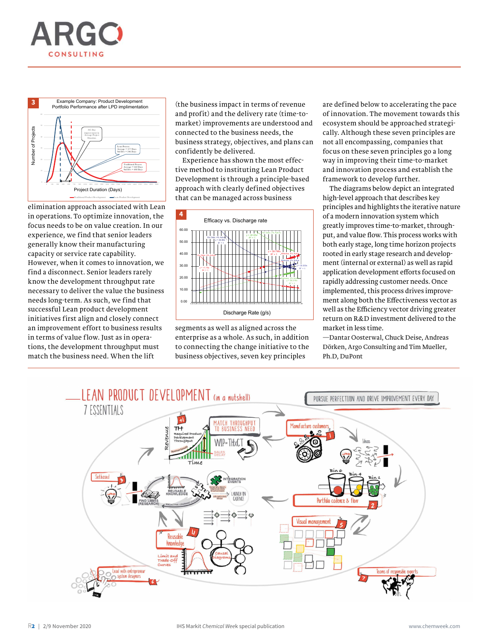



elimination approach associated with Lean in operations. To optimize innovation, the focus needs to be on value creation. In our experience, we find that senior leaders generally know their manufacturing capacity or service rate capability. However, when it comes to innovation, we find a disconnect. Senior leaders rarely know the development throughput rate necessary to deliver the value the business needs long-term. As such, we find that successful Lean product development initiatives first align and closely connect an improvement effort to business results in terms of value flow. Just as in operations, the development throughput must match the business need. When the lift

(the business impact in terms of revenue and profit) and the delivery rate (time-tomarket) improvements are understood and connected to the business needs, the business strategy, objectives, and plans can confidently be delivered.

Experience has shown the most effective method to instituting Lean Product Development is through a principle-based approach with clearly defined objectives that can be managed across business



segments as well as aligned across the enterprise as a whole. As such, in addition to connecting the change initiative to the business objectives, seven key principles

are defined below to accelerating the pace of innovation. The movement towards this ecosystem should be approached strategically. Although these seven principles are not all encompassing, companies that focus on these seven principles go a long way in improving their time-to-market and innovation process and establish the framework to develop further.

The diagrams below depict an integrated high-level approach that describes key principles and highlights the iterative nature of a modern innovation system which greatly improves time-to-market, throughput, and value flow. This process works with both early stage, long time horizon projects rooted in early stage research and development (internal or external) as well as rapid application development efforts focused on rapidly addressing customer needs. Once implemented, this process drives improvement along both the Effectiveness vector as well as the Efficiency vector driving greater return on R&D investment delivered to the market in less time.

—Dantar Oosterwal, Chuck Deise, Andreas Dörken, Argo Consulting and Tim Mueller, Ph.D, DuPont

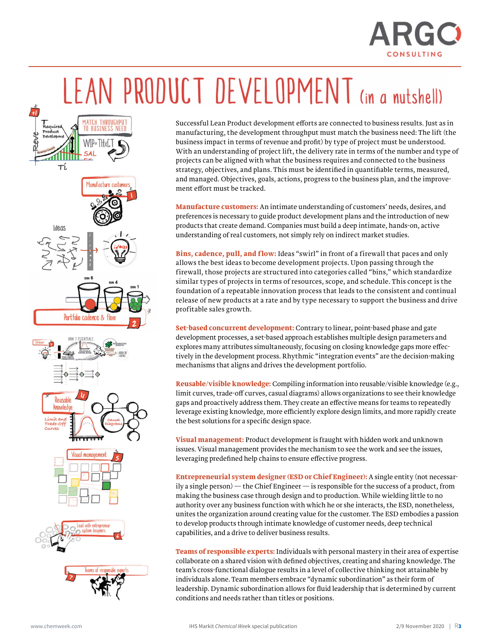

## LEAN PRODUCT DEVELOPMENT (in a nutshell)



Successful Lean Product development efforts are connected to business results. Just as in manufacturing, the development throughput must match the business need: The lift (the business impact in terms of revenue and profit) by type of project must be understood. With an understanding of project lift, the delivery rate in terms of the number and type of projects can be aligned with what the business requires and connected to the business strategy, objectives, and plans. This must be identified in quantifiable terms, measured, and managed. Objectives, goals, actions, progress to the business plan, and the improvement effort must be tracked.

**Manufacture customers:** An intimate understanding of customers' needs, desires, and preferences is necessary to guide product development plans and the introduction of new products that create demand. Companies must build a deep intimate, hands-on, active understanding of real customers, not simply rely on indirect market studies.

**Bins, cadence, pull, and flow:** Ideas "swirl" in front of a firewall that paces and only allows the best ideas to become development projects. Upon passing through the firewall, those projects are structured into categories called "bins," which standardize similar types of projects in terms of resources, scope, and schedule. This concept is the foundation of a repeatable innovation process that leads to the consistent and continual release of new products at a rate and by type necessary to support the business and drive profitable sales growth.

**Set-based concurrent development:** Contrary to linear, point-based phase and gate development processes, a set-based approach establishes multiple design parameters and explores many attributes simultaneously, focusing on closing knowledge gaps more effectively in the development process. Rhythmic "integration events" are the decision-making mechanisms that aligns and drives the development portfolio.

**Reusable/visible knowledge:** Compiling information into reusable/visible knowledge (e.g., limit curves, trade-off curves, casual diagrams) allows organizations to see their knowledge gaps and proactively address them. They create an effective means for teams to repeatedly leverage existing knowledge, more efficiently explore design limits, and more rapidly create the best solutions for a specific design space.

**Visual management:** Product development is fraught with hidden work and unknown issues. Visual management provides the mechanism to see the work and see the issues, leveraging predefined help chains to ensure effective progress.

**Entrepreneurial system designer (ESD or Chief Engineer):** A single entity (not necessarily a single person) — the Chief Engineer — is responsible for the success of a product, from making the business case through design and to production. While wielding little to no authority over any business function with which he or she interacts, the ESD, nonetheless, unites the organization around creating value for the customer. The ESD embodies a passion to develop products through intimate knowledge of customer needs, deep technical capabilities, and a drive to deliver business results.

**Teams of responsible experts:** Individuals with personal mastery in their area of expertise collaborate on a shared vision with defined objectives, creating and sharing knowledge. The team's cross-functional dialogue results in a level of collective thinking not attainable by individuals alone. Team members embrace "dynamic subordination" as their form of leadership. Dynamic subordination allows for fluid leadership that is determined by current conditions and needs rather than titles or positions.